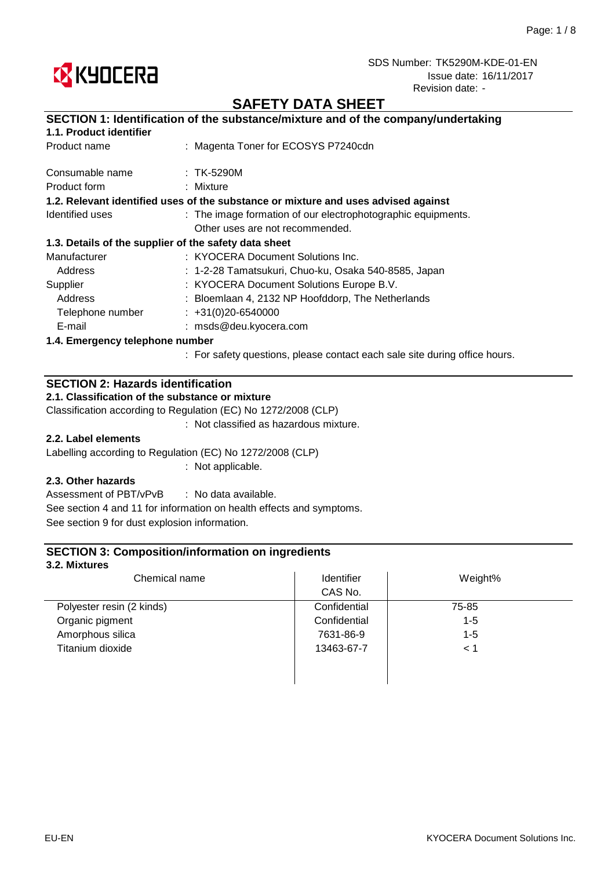

# **SAFETY DATA SHEET**

## **SECTION 1: Identification of the substance/mixture and of the company/undertaking**

## **1.1. Product identifier**

| Product name                    | : Magenta Toner for ECOSYS P7240cdn                                                |
|---------------------------------|------------------------------------------------------------------------------------|
| Consumable name                 | $:$ TK-5290M                                                                       |
| Product form                    | : Mixture                                                                          |
|                                 | 1.2. Relevant identified uses of the substance or mixture and uses advised against |
| Identified uses                 | : The image formation of our electrophotographic equipments.                       |
|                                 | Other uses are not recommended.                                                    |
|                                 | 1.3. Details of the supplier of the safety data sheet                              |
| Manufacturer                    | : KYOCERA Document Solutions Inc.                                                  |
| Address                         | : 1-2-28 Tamatsukuri, Chuo-ku, Osaka 540-8585, Japan                               |
| Supplier                        | : KYOCERA Document Solutions Europe B.V.                                           |
| Address                         | : Bloemlaan 4, 2132 NP Hoofddorp, The Netherlands                                  |
| Telephone number                | $\div$ +31(0)20-6540000                                                            |
| E-mail                          | : msds@deu.kyocera.com                                                             |
| 1.4. Emergency telephone number |                                                                                    |
|                                 | : For safety questions, please contact each sale site during office hours.         |

#### **SECTION 2: Hazards identification**

#### **2.1. Classification of the substance or mixture**

Classification according to Regulation (EC) No 1272/2008 (CLP)

: Not classified as hazardous mixture.

### **2.2. Label elements**

Labelling according to Regulation (EC) No 1272/2008 (CLP)

: Not applicable.

### **2.3. Other hazards**

: No data available. Assessment of PBT/vPvB See section 4 and 11 for information on health effects and symptoms. See section 9 for dust explosion information.

### **SECTION 3: Composition/information on ingredients**

#### **3.2. Mixtures**

| Chemical name             | Identifier   | Weight% |
|---------------------------|--------------|---------|
|                           | CAS No.      |         |
| Polyester resin (2 kinds) | Confidential | 75-85   |
| Organic pigment           | Confidential | $1 - 5$ |
| Amorphous silica          | 7631-86-9    | $1 - 5$ |
| Titanium dioxide          | 13463-67-7   | < 1     |
|                           |              |         |
|                           |              |         |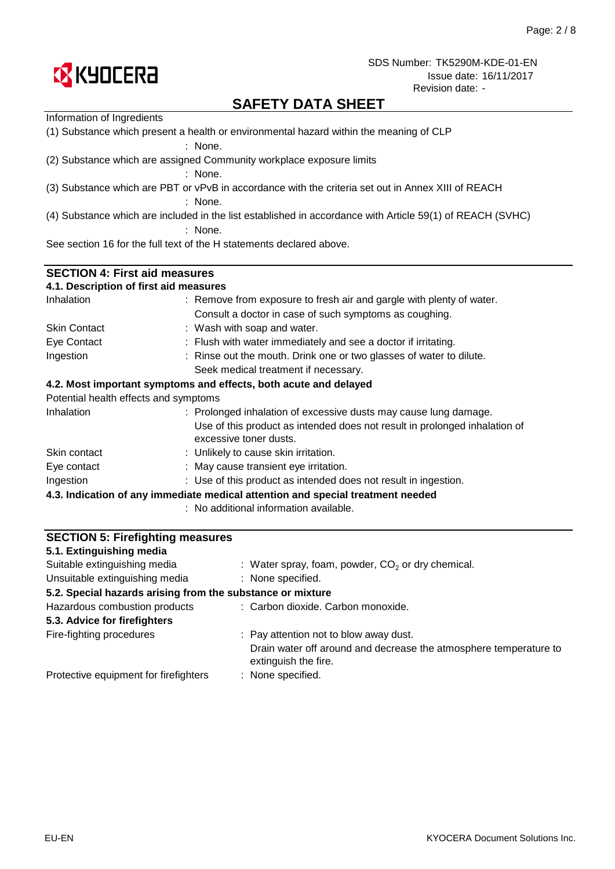

# **SAFETY DATA SHEET**

| Information of Ingredients                                                                        |                                                                                                           |  |  |  |
|---------------------------------------------------------------------------------------------------|-----------------------------------------------------------------------------------------------------------|--|--|--|
| (1) Substance which present a health or environmental hazard within the meaning of CLP<br>: None. |                                                                                                           |  |  |  |
|                                                                                                   | (2) Substance which are assigned Community workplace exposure limits                                      |  |  |  |
|                                                                                                   | $:$ None.                                                                                                 |  |  |  |
|                                                                                                   | (3) Substance which are PBT or vPvB in accordance with the criteria set out in Annex XIII of REACH        |  |  |  |
|                                                                                                   | $:$ None.                                                                                                 |  |  |  |
|                                                                                                   | (4) Substance which are included in the list established in accordance with Article 59(1) of REACH (SVHC) |  |  |  |
|                                                                                                   | $:$ None.                                                                                                 |  |  |  |
|                                                                                                   | See section 16 for the full text of the H statements declared above.                                      |  |  |  |
| <b>SECTION 4: First aid measures</b>                                                              |                                                                                                           |  |  |  |
| 4.1. Description of first aid measures                                                            |                                                                                                           |  |  |  |
| Inhalation                                                                                        | : Remove from exposure to fresh air and gargle with plenty of water.                                      |  |  |  |
|                                                                                                   | Consult a doctor in case of such symptoms as coughing.                                                    |  |  |  |
| <b>Skin Contact</b>                                                                               | : Wash with soap and water.                                                                               |  |  |  |
| Eye Contact                                                                                       | : Flush with water immediately and see a doctor if irritating.                                            |  |  |  |
| Ingestion                                                                                         | : Rinse out the mouth. Drink one or two glasses of water to dilute.                                       |  |  |  |
|                                                                                                   | Seek medical treatment if necessary.                                                                      |  |  |  |
|                                                                                                   | 4.2. Most important symptoms and effects, both acute and delayed                                          |  |  |  |
| Potential health effects and symptoms                                                             |                                                                                                           |  |  |  |
| Inhalation                                                                                        | : Prolonged inhalation of excessive dusts may cause lung damage.                                          |  |  |  |
|                                                                                                   | Use of this product as intended does not result in prolonged inhalation of                                |  |  |  |
|                                                                                                   | excessive toner dusts.                                                                                    |  |  |  |
| Skin contact                                                                                      | : Unlikely to cause skin irritation.                                                                      |  |  |  |
| Eye contact                                                                                       | : May cause transient eye irritation.                                                                     |  |  |  |
| Ingestion                                                                                         | : Use of this product as intended does not result in ingestion.                                           |  |  |  |
|                                                                                                   | 4.3. Indication of any immediate medical attention and special treatment needed                           |  |  |  |
|                                                                                                   | : No additional information available.                                                                    |  |  |  |
|                                                                                                   |                                                                                                           |  |  |  |
| <b>SECTION 5: Firefighting measures</b>                                                           |                                                                                                           |  |  |  |

| 5.1. Extinguishing media                                   |                                                                                           |
|------------------------------------------------------------|-------------------------------------------------------------------------------------------|
| Suitable extinguishing media                               | : Water spray, foam, powder, $CO2$ or dry chemical.                                       |
| Unsuitable extinguishing media                             | : None specified.                                                                         |
| 5.2. Special hazards arising from the substance or mixture |                                                                                           |
| Hazardous combustion products                              | : Carbon dioxide. Carbon monoxide.                                                        |
| 5.3. Advice for firefighters                               |                                                                                           |
| Fire-fighting procedures                                   | : Pay attention not to blow away dust.                                                    |
|                                                            | Drain water off around and decrease the atmosphere temperature to<br>extinguish the fire. |
| Protective equipment for firefighters                      | : None specified.                                                                         |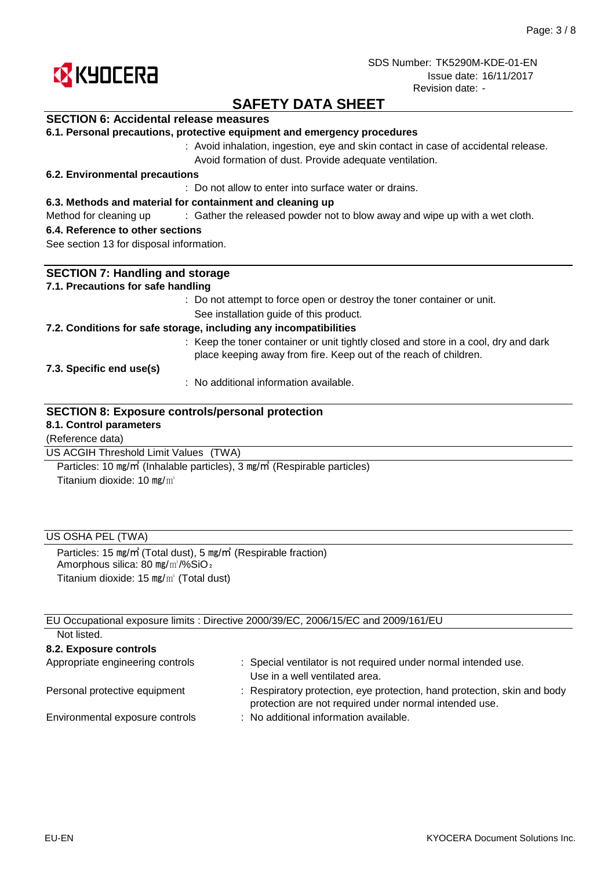

# **SAFETY DATA SHEET**

### **SECTION 6: Accidental release measures**

|  |  | 6.1. Personal precautions, protective equipment and emergency procedures |  |  |  |  |  |
|--|--|--------------------------------------------------------------------------|--|--|--|--|--|
|--|--|--------------------------------------------------------------------------|--|--|--|--|--|

: Avoid inhalation, ingestion, eye and skin contact in case of accidental release. Avoid formation of dust. Provide adequate ventilation.

#### **6.2. Environmental precautions**

: Do not allow to enter into surface water or drains.

#### **6.3. Methods and material for containment and cleaning up**

Method for cleaning up exclosive of the released powder not to blow away and wipe up with a wet cloth.

#### **6.4. Reference to other sections**

See section 13 for disposal information.

| <b>SECTION 7: Handling and storage</b>                                                                                                                  |
|---------------------------------------------------------------------------------------------------------------------------------------------------------|
| 7.1. Precautions for safe handling                                                                                                                      |
| : Do not attempt to force open or destroy the toner container or unit.                                                                                  |
| See installation guide of this product.                                                                                                                 |
| 7.2. Conditions for safe storage, including any incompatibilities                                                                                       |
| : Keep the toner container or unit tightly closed and store in a cool, dry and dark<br>place keeping away from fire. Keep out of the reach of children. |
| 7.3. Specific end use(s)                                                                                                                                |
| : No additional information available.                                                                                                                  |
| <b>SECTION 8: Exposure controls/personal protection</b>                                                                                                 |
| 8.1. Control parameters                                                                                                                                 |
| (Reference data)                                                                                                                                        |
| US ACGIH Threshold Limit Values<br>(TWA)                                                                                                                |

Titanium dioxide: 10 mg/m<sup>3</sup> Particles: 10 ㎎/㎥ (Inhalable particles), 3 ㎎/㎥ (Respirable particles)

### US OSHA PEL (TWA)

Particles: 15 ㎎/㎥ (Total dust), 5 ㎎/㎥ (Respirable fraction) Amorphous silica: 80 mg/m<sup>3</sup>/%SiO<sub>2</sub> Titanium dioxide: 15 ㎎/㎥ (Total dust)

EU Occupational exposure limits : Directive 2000/39/EC, 2006/15/EC and 2009/161/EU Not listed.

| TVUL IISLUU.                     |                                                                                                                                    |
|----------------------------------|------------------------------------------------------------------------------------------------------------------------------------|
| 8.2. Exposure controls           |                                                                                                                                    |
| Appropriate engineering controls | : Special ventilator is not required under normal intended use.<br>Use in a well ventilated area.                                  |
| Personal protective equipment    | : Respiratory protection, eye protection, hand protection, skin and body<br>protection are not required under normal intended use. |
| Environmental exposure controls  | : No additional information available.                                                                                             |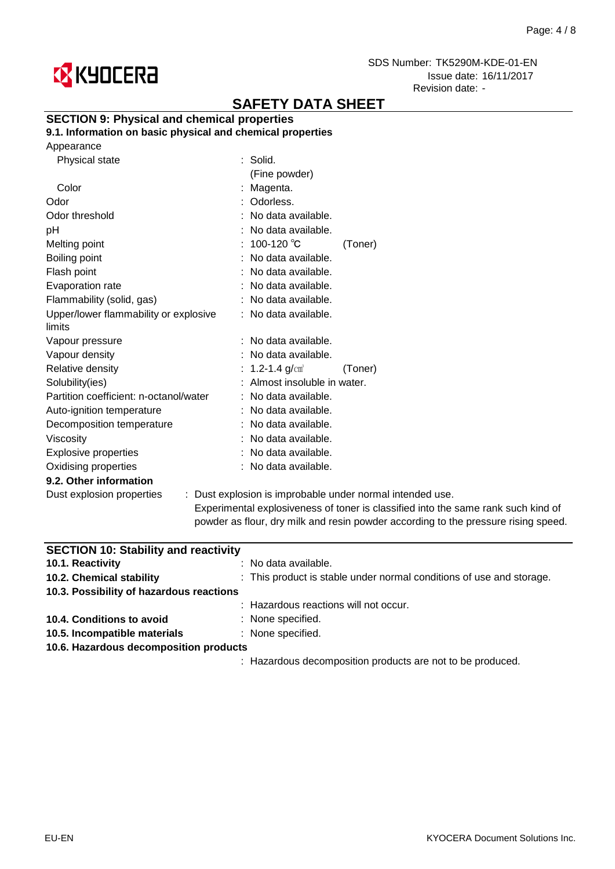

# **SAFETY DATA SHEET**

### **SECTION 9: Physical and chemical properties**

**9.1. Information on basic physical and chemical properties**

|  | Appearance |
|--|------------|
|--|------------|

| Physical state                         | $:$ Solid.                                                                                                      |         |
|----------------------------------------|-----------------------------------------------------------------------------------------------------------------|---------|
|                                        | (Fine powder)                                                                                                   |         |
| Color                                  | : Magenta.                                                                                                      |         |
| Odor                                   | : Odorless.                                                                                                     |         |
| Odor threshold                         | : No data available.                                                                                            |         |
| рH                                     | : No data available.                                                                                            |         |
| Melting point                          | : 100-120 ℃                                                                                                     | (Toner) |
| Boiling point                          | : No data available.                                                                                            |         |
| Flash point                            | : No data available.                                                                                            |         |
| Evaporation rate                       | : No data available.                                                                                            |         |
| Flammability (solid, gas)              | : No data available.                                                                                            |         |
| Upper/lower flammability or explosive  | : No data available.                                                                                            |         |
| limits                                 |                                                                                                                 |         |
| Vapour pressure                        | : No data available.                                                                                            |         |
| Vapour density                         | : No data available.                                                                                            |         |
| Relative density                       | : 1.2-1.4 $g/cm^{3}$                                                                                            | (Toner) |
| Solubility(ies)                        | : Almost insoluble in water.                                                                                    |         |
| Partition coefficient: n-octanol/water | : No data available.                                                                                            |         |
| Auto-ignition temperature              | : No data available.                                                                                            |         |
| Decomposition temperature              | : No data available.                                                                                            |         |
| Viscosity                              | : No data available.                                                                                            |         |
| <b>Explosive properties</b>            | : No data available.                                                                                            |         |
| Oxidising properties                   | : No data available.                                                                                            |         |
| 9.2. Other information                 |                                                                                                                 |         |
| Dust explosion properties              | : Dust explosion is improbable under normal inte                                                                |         |
|                                        | the contract of the contract of the contract of the contract of the contract of the contract of the contract of |         |

ended use. Experimental explosiveness of toner is classified into the same rank such kind of powder as flour, dry milk and resin powder according to the pressure rising speed.

| <b>SECTION 10: Stability and reactivity</b> |                                                                      |  |  |  |
|---------------------------------------------|----------------------------------------------------------------------|--|--|--|
| 10.1. Reactivity                            | $:$ No data available.                                               |  |  |  |
| 10.2. Chemical stability                    | : This product is stable under normal conditions of use and storage. |  |  |  |
| 10.3. Possibility of hazardous reactions    |                                                                      |  |  |  |
|                                             | : Hazardous reactions will not occur.                                |  |  |  |
| 10.4. Conditions to avoid                   | : None specified.                                                    |  |  |  |
| 10.5. Incompatible materials                | : None specified.                                                    |  |  |  |
| 10.6. Hazardous decomposition products      |                                                                      |  |  |  |
|                                             | : Hazardous decomposition products are not to be produced.           |  |  |  |
|                                             |                                                                      |  |  |  |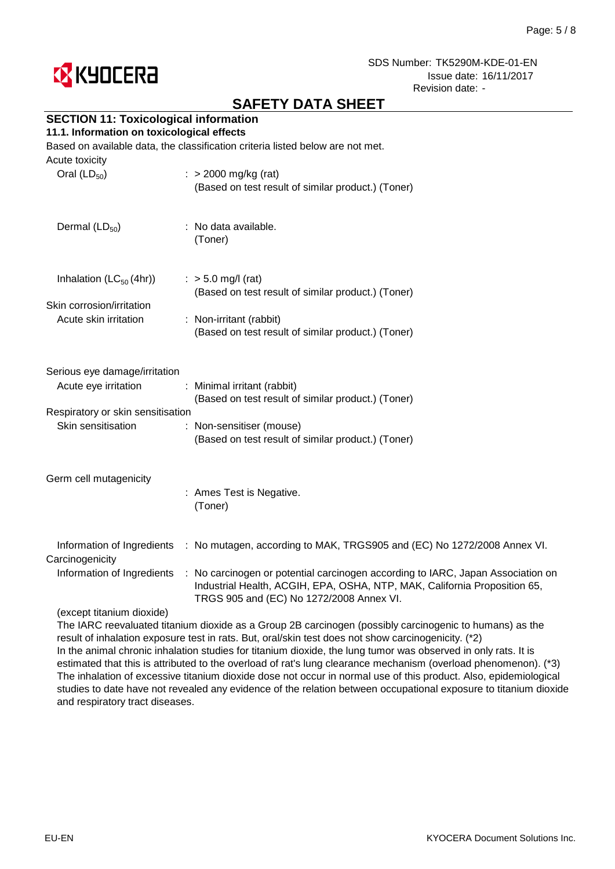

# **SAFETY DATA SHEET**

### **SECTION 11: Toxicological information**

#### **11.1. Information on toxicological effects**

Based on available data, the classification criteria listed below are not met.

| Acute toxicity<br>Oral $(LD_{50})$            | $:$ > 2000 mg/kg (rat)                                                                                                                                                                                   |
|-----------------------------------------------|----------------------------------------------------------------------------------------------------------------------------------------------------------------------------------------------------------|
|                                               | (Based on test result of similar product.) (Toner)                                                                                                                                                       |
| Dermal $(LD_{50})$                            | : No data available.<br>(Toner)                                                                                                                                                                          |
| Inhalation $(LC_{50}(4hr))$                   | $:$ > 5.0 mg/l (rat)<br>(Based on test result of similar product.) (Toner)                                                                                                                               |
| Skin corrosion/irritation                     |                                                                                                                                                                                                          |
| Acute skin irritation                         | : Non-irritant (rabbit)                                                                                                                                                                                  |
|                                               | (Based on test result of similar product.) (Toner)                                                                                                                                                       |
| Serious eye damage/irritation                 |                                                                                                                                                                                                          |
| Acute eye irritation                          | Minimal irritant (rabbit)<br>(Based on test result of similar product.) (Toner)                                                                                                                          |
| Respiratory or skin sensitisation             |                                                                                                                                                                                                          |
| Skin sensitisation                            | : Non-sensitiser (mouse)                                                                                                                                                                                 |
|                                               | (Based on test result of similar product.) (Toner)                                                                                                                                                       |
| Germ cell mutagenicity                        |                                                                                                                                                                                                          |
|                                               | : Ames Test is Negative.<br>(Toner)                                                                                                                                                                      |
| Information of Ingredients<br>Carcinogenicity | : No mutagen, according to MAK, TRGS905 and (EC) No 1272/2008 Annex VI.                                                                                                                                  |
| Information of Ingredients                    | : No carcinogen or potential carcinogen according to IARC, Japan Association on<br>Industrial Health, ACGIH, EPA, OSHA, NTP, MAK, California Proposition 65,<br>TRGS 905 and (EC) No 1272/2008 Annex VI. |
| (except titanium dioxide)                     |                                                                                                                                                                                                          |
|                                               |                                                                                                                                                                                                          |

The IARC reevaluated titanium dioxide as a Group 2B carcinogen (possibly carcinogenic to humans) as the result of inhalation exposure test in rats. But, oral/skin test does not show carcinogenicity. (\*2) In the animal chronic inhalation studies for titanium dioxide, the lung tumor was observed in only rats. It is estimated that this is attributed to the overload of rat's lung clearance mechanism (overload phenomenon). (\*3) The inhalation of excessive titanium dioxide dose not occur in normal use of this product. Also, epidemiological studies to date have not revealed any evidence of the relation between occupational exposure to titanium dioxide and respiratory tract diseases.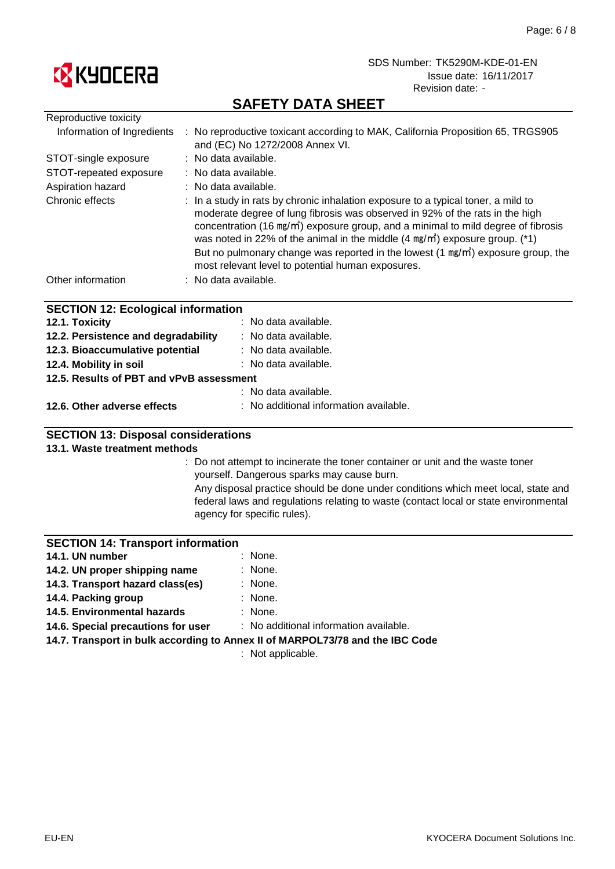

# **SAFETY DATA SHEET**

| Reproductive toxicity                     |                                                                                                                                                                                                                                                                                                                                                                                                                                                                                                                   |  |  |
|-------------------------------------------|-------------------------------------------------------------------------------------------------------------------------------------------------------------------------------------------------------------------------------------------------------------------------------------------------------------------------------------------------------------------------------------------------------------------------------------------------------------------------------------------------------------------|--|--|
| Information of Ingredients                | : No reproductive toxicant according to MAK, California Proposition 65, TRGS905<br>and (EC) No 1272/2008 Annex VI.                                                                                                                                                                                                                                                                                                                                                                                                |  |  |
| STOT-single exposure                      | : No data available.                                                                                                                                                                                                                                                                                                                                                                                                                                                                                              |  |  |
| STOT-repeated exposure                    | : No data available.                                                                                                                                                                                                                                                                                                                                                                                                                                                                                              |  |  |
| Aspiration hazard                         | : No data available.                                                                                                                                                                                                                                                                                                                                                                                                                                                                                              |  |  |
| Chronic effects                           | : In a study in rats by chronic inhalation exposure to a typical toner, a mild to<br>moderate degree of lung fibrosis was observed in 92% of the rats in the high<br>concentration (16 mg/m <sup>3</sup> ) exposure group, and a minimal to mild degree of fibrosis<br>was noted in 22% of the animal in the middle $(4 \text{ mg/m}^3)$ exposure group. (*1)<br>But no pulmonary change was reported in the lowest $(1 \text{ mg/m}^3)$ exposure group, the<br>most relevant level to potential human exposures. |  |  |
| Other information                         | : No data available.                                                                                                                                                                                                                                                                                                                                                                                                                                                                                              |  |  |
| <b>SECTION 12: Ecological information</b> |                                                                                                                                                                                                                                                                                                                                                                                                                                                                                                                   |  |  |
| 12.1. Toxicity                            | : No data available.                                                                                                                                                                                                                                                                                                                                                                                                                                                                                              |  |  |
| 12.2. Persistence and degradability       | : No data available.                                                                                                                                                                                                                                                                                                                                                                                                                                                                                              |  |  |
| 12.3. Bioaccumulative potential           | : No data available.                                                                                                                                                                                                                                                                                                                                                                                                                                                                                              |  |  |

- : No data available. **12.4. Mobility in soil**
- **12.5. Results of PBT and vPvB assessment**
- **12.6. Other adverse effects** : No additional information available.

: No data available.

### **SECTION 13: Disposal considerations**

#### **13.1. Waste treatment methods**

: Do not attempt to incinerate the toner container or unit and the waste toner yourself. Dangerous sparks may cause burn.

Any disposal practice should be done under conditions which meet local, state and federal laws and regulations relating to waste (contact local or state environmental agency for specific rules).

#### **SECTION 14: Transport information**

| 14.1. UN number               | : None. |
|-------------------------------|---------|
| 14.2. UN proper shipping name | : None. |
|                               |         |

- : None. : None. **14.3. Transport hazard class(es)**
- **14.4. Packing group**
- : None. **14.5. Environmental hazards**

: No additional information available. **14.6. Special precautions for user**

**14.7. Transport in bulk according to Annex II of MARPOL73/78 and the IBC Code**

: Not applicable.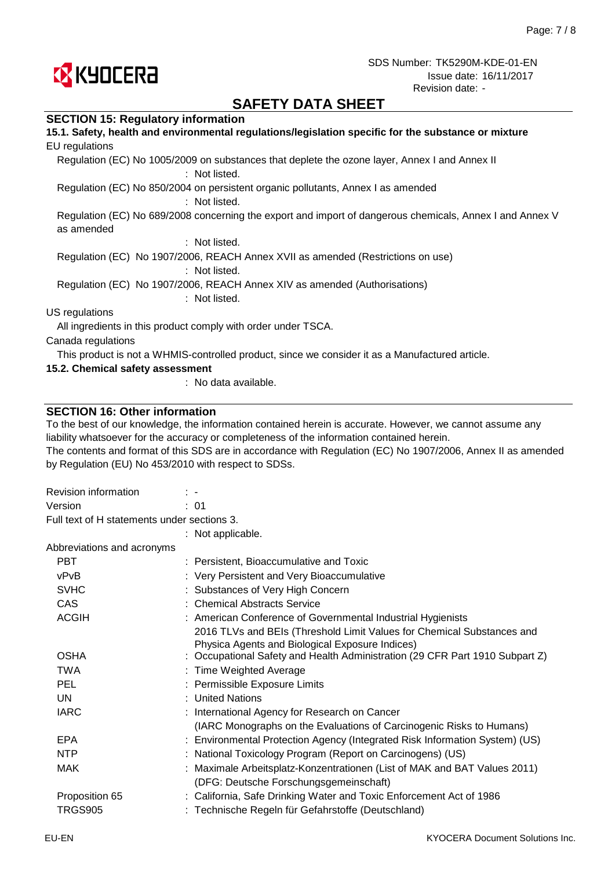

# **SAFETY DATA SHEET**

#### **SECTION 15: Regulatory information**

| 15.1. Safety, health and environmental regulations/legislation specific for the substance or mixture                   |
|------------------------------------------------------------------------------------------------------------------------|
| EU regulations                                                                                                         |
| Regulation (EC) No 1005/2009 on substances that deplete the ozone layer, Annex I and Annex II<br>: Not listed.         |
| Regulation (EC) No 850/2004 on persistent organic pollutants, Annex I as amended<br>: Not listed.                      |
| Regulation (EC) No 689/2008 concerning the export and import of dangerous chemicals, Annex I and Annex V<br>as amended |
| : Not listed.                                                                                                          |
| Regulation (EC) No 1907/2006, REACH Annex XVII as amended (Restrictions on use)<br>: Not listed.                       |
| Regulation (EC) No 1907/2006, REACH Annex XIV as amended (Authorisations)<br>: Not listed.                             |
| US regulations                                                                                                         |
| All ingredients in this product comply with order under TSCA.                                                          |
| Canada regulations                                                                                                     |
| This product is not a WHMIS-controlled product, since we consider it as a Manufactured article.                        |
| 15.2. Chemical safety assessment                                                                                       |

: No data available.

#### **SECTION 16: Other information**

To the best of our knowledge, the information contained herein is accurate. However, we cannot assume any liability whatsoever for the accuracy or completeness of the information contained herein.

The contents and format of this SDS are in accordance with Regulation (EC) No 1907/2006, Annex II as amended by Regulation (EU) No 453/2010 with respect to SDSs.

| Revision information                        | $\mathbb{R}^n$                                                                                                                |  |
|---------------------------------------------|-------------------------------------------------------------------------------------------------------------------------------|--|
| Version                                     | : 01                                                                                                                          |  |
| Full text of H statements under sections 3. |                                                                                                                               |  |
|                                             | : Not applicable.                                                                                                             |  |
| Abbreviations and acronyms                  |                                                                                                                               |  |
| <b>PBT</b>                                  | : Persistent, Bioaccumulative and Toxic                                                                                       |  |
| vPvB                                        | : Very Persistent and Very Bioaccumulative                                                                                    |  |
| <b>SVHC</b>                                 | Substances of Very High Concern                                                                                               |  |
| <b>CAS</b>                                  | : Chemical Abstracts Service                                                                                                  |  |
| <b>ACGIH</b>                                | : American Conference of Governmental Industrial Hygienists                                                                   |  |
|                                             | 2016 TLVs and BEIs (Threshold Limit Values for Chemical Substances and                                                        |  |
| <b>OSHA</b>                                 | Physica Agents and Biological Exposure Indices)<br>Occupational Safety and Health Administration (29 CFR Part 1910 Subpart Z) |  |
| <b>TWA</b>                                  | : Time Weighted Average                                                                                                       |  |
| <b>PEL</b>                                  | : Permissible Exposure Limits                                                                                                 |  |
| UN                                          | : United Nations                                                                                                              |  |
| <b>IARC</b>                                 | : International Agency for Research on Cancer                                                                                 |  |
|                                             | (IARC Monographs on the Evaluations of Carcinogenic Risks to Humans)                                                          |  |
| <b>EPA</b>                                  | : Environmental Protection Agency (Integrated Risk Information System) (US)                                                   |  |
| <b>NTP</b>                                  | National Toxicology Program (Report on Carcinogens) (US)                                                                      |  |
| <b>MAK</b>                                  | Maximale Arbeitsplatz-Konzentrationen (List of MAK and BAT Values 2011)                                                       |  |
|                                             | (DFG: Deutsche Forschungsgemeinschaft)                                                                                        |  |
| Proposition 65                              | : California, Safe Drinking Water and Toxic Enforcement Act of 1986                                                           |  |
| <b>TRGS905</b>                              | : Technische Regeln für Gefahrstoffe (Deutschland)                                                                            |  |